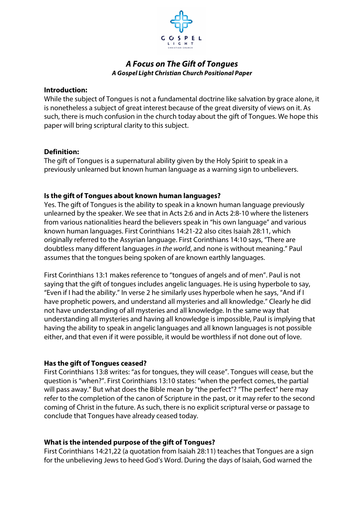

# *A Focus on The Gift of Tongues A Gospel Light Christian Church Positional Paper*

#### **Introduction:**

While the subject of Tongues is not a fundamental doctrine like salvation by grace alone, it is nonetheless a subject of great interest because of the great diversity of views on it. As such, there is much confusion in the church today about the gift of Tongues. We hope this paper will bring scriptural clarity to this subject.

## **Definition:**

The gift of Tongues is a supernatural ability given by the Holy Spirit to speak in a previously unlearned but known human language as a warning sign to unbelievers.

## **Is the gift of Tongues about known human languages?**

Yes. The gift of Tongues is the ability to speak in a known human language previously unlearned by the speaker. We see that in Acts 2:6 and in Acts 2:8-10 where the listeners from various nationalities heard the believers speak in "his own language" and various known human languages. First Corinthians 14:21-22 also cites Isaiah 28:11, which originally referred to the Assyrian language. First Corinthians 14:10 says, "There are doubtless many different languages *in the world*, and none is without meaning." Paul assumes that the tongues being spoken of are known earthly languages.

First Corinthians 13:1 makes reference to "tongues of angels and of men". Paul is not saying that the gift of tongues includes angelic languages. He is using hyperbole to say, "Even if I had the ability." In verse 2 he similarly uses hyperbole when he says, "And if I have prophetic powers, and understand all mysteries and all knowledge." Clearly he did not have understanding of all mysteries and all knowledge. In the same way that understanding all mysteries and having all knowledge is impossible, Paul is implying that having the ability to speak in angelic languages and all known languages is not possible either, and that even if it were possible, it would be worthless if not done out of love.

## **Has the gift of Tongues ceased?**

First Corinthians 13:8 writes: "as for tongues, they will cease". Tongues will cease, but the question is "when?". First Corinthians 13:10 states: "when the perfect comes, the partial will pass away." But what does the Bible mean by "the perfect"? "The perfect" here may refer to the completion of the canon of Scripture in the past, or it may refer to the second coming of Christ in the future. As such, there is no explicit scriptural verse or passage to conclude that Tongues have already ceased today.

## **What is the intended purpose of the gift of Tongues?**

First Corinthians 14:21,22 (a quotation from Isaiah 28:11) teaches that Tongues are a sign for the unbelieving Jews to heed God's Word. During the days of Isaiah, God warned the